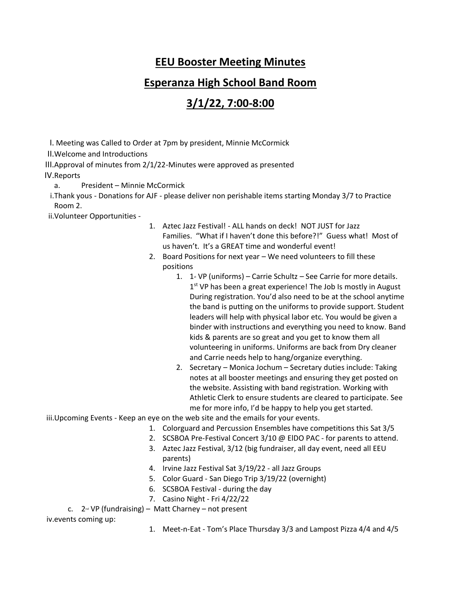## **EEU Booster Meeting Minutes**

## **Esperanza High School Band Room**

## **3/1/22, 7:00-8:00**

I. Meeting was Called to Order at 7pm by president, Minnie McCormick

II.Welcome and Introductions

III.Approval of minutes from 2/1/22-Minutes were approved as presented

IV.Reports

a. President – Minnie McCormick

i.Thank yous - Donations for AJF - please deliver non perishable items starting Monday 3/7 to Practice Room 2.

ii.Volunteer Opportunities -

- 1. Aztec Jazz Festival! ALL hands on deck! NOT JUST for Jazz Families. "What if I haven't done this before?!" Guess what! Most of us haven't. It's a GREAT time and wonderful event!
- 2. Board Positions for next year We need volunteers to fill these positions
	- 1.  $1 \times VP$  (uniforms) Carrie Schultz See Carrie for more details. 1<sup>st</sup> VP has been a great experience! The Job Is mostly in August During registration. You'd also need to be at the school anytime the band is putting on the uniforms to provide support. Student leaders will help with physical labor etc. You would be given a binder with instructions and everything you need to know. Band kids & parents are so great and you get to know them all volunteering in uniforms. Uniforms are back from Dry cleaner and Carrie needs help to hang/organize everything.
	- 2. Secretary Monica Jochum Secretary duties include: Taking notes at all booster meetings and ensuring they get posted on the website. Assisting with band registration. Working with Athletic Clerk to ensure students are cleared to participate. See me for more info, I'd be happy to help you get started.

iii.Upcoming Events - Keep an eye on the web site and the emails for your events.

- 1. Colorguard and Percussion Ensembles have competitions this Sat 3/5
- 2. SCSBOA Pre-Festival Concert 3/10 @ EIDO PAC for parents to attend.
- 3. Aztec Jazz Festival, 3/12 (big fundraiser, all day event, need all EEU parents)
- 4. Irvine Jazz Festival Sat 3/19/22 all Jazz Groups
- 5. Color Guard San Diego Trip 3/19/22 (overnight)
- 6. SCSBOA Festival during the day
- 7. Casino Night Fri 4/22/22

c.  $2^{nd} VP$  (fundraising) – Matt Charney – not present

iv.events coming up:

1. Meet-n-Eat - Tom's Place Thursday 3/3 and Lampost Pizza 4/4 and 4/5